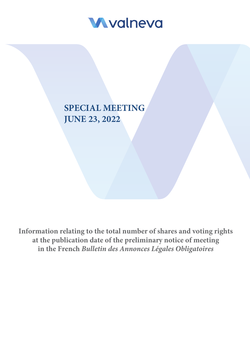

# **SPECIAL MEETING JUNE 23, 2022**

**Information relating to the total number of shares and voting rights at the publication date of the preliminary notice of meeting in the French** *Bulletin des Annonces Légales Obligatoires*